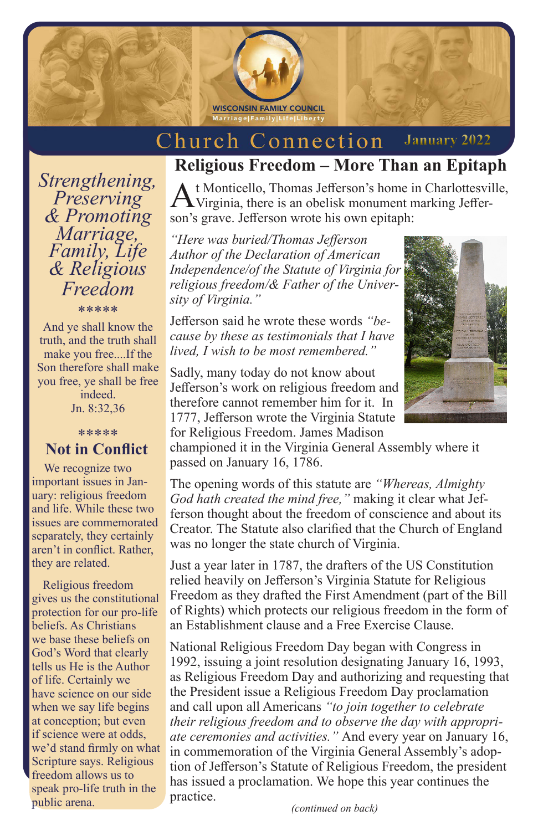

Church Connection **January 2022**

## *Strengthening, Preserving & Promoting Marriage, Family, Life & Religious Freedom*

\*\*\*\*\*

And ye shall know the truth, and the truth shall make you free....If the Son therefore shall make you free, ye shall be free indeed. Jn. 8:32,36

#### \*\*\*\*\* **Not in Conflict**

 We recognize two important issues in January: religious freedom and life. While these two issues are commemorated separately, they certainly aren't in conflict. Rather, they are related.

 Religious freedom gives us the constitutional protection for our pro-life beliefs. As Christians we base these beliefs on God's Word that clearly tells us He is the Author of life. Certainly we have science on our side when we say life begins at conception; but even if science were at odds, we'd stand firmly on what Scripture says. Religious freedom allows us to speak pro-life truth in the public arena.

# **Religious Freedom – More Than an Epitaph**

At Monticello, Thomas Jefferson's home in Charlottesville, Virginia, there is an obelisk monument marking Jefferson's grave. Jefferson wrote his own epitaph:

*"Here was buried/Thomas Jefferson Author of the Declaration of American Independence/of the Statute of Virginia for religious freedom/& Father of the University of Virginia."* 

Jefferson said he wrote these words *"because by these as testimonials that I have lived, I wish to be most remembered."*

Sadly, many today do not know about Jefferson's work on religious freedom and therefore cannot remember him for it. In 1777, Jefferson wrote the Virginia Statute

for Religious Freedom. James Madison championed it in the Virginia General Assembly where it passed on January 16, 1786.

The opening words of this statute are *"Whereas, Almighty God hath created the mind free,"* making it clear what Jefferson thought about the freedom of conscience and about its Creator. The Statute also clarified that the Church of England was no longer the state church of Virginia.

Just a year later in 1787, the drafters of the US Constitution relied heavily on Jefferson's Virginia Statute for Religious Freedom as they drafted the First Amendment (part of the Bill of Rights) which protects our religious freedom in the form of an Establishment clause and a Free Exercise Clause.

National Religious Freedom Day began with Congress in 1992, issuing a joint resolution designating January 16, 1993, as Religious Freedom Day and authorizing and requesting that the President issue a Religious Freedom Day proclamation and call upon all Americans *"to join together to celebrate their religious freedom and to observe the day with appropriate ceremonies and activities."* And every year on January 16, in commemoration of the Virginia General Assembly's adoption of Jefferson's Statute of Religious Freedom, the president has issued a proclamation. We hope this year continues the practice.

*(continued on back)*